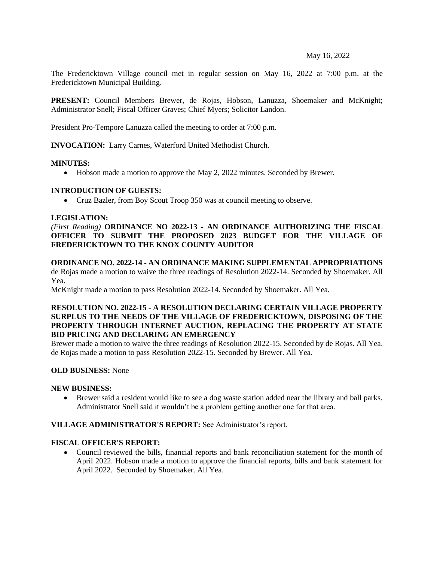#### May 16, 2022

The Fredericktown Village council met in regular session on May 16, 2022 at 7:00 p.m. at the Fredericktown Municipal Building.

**PRESENT:** Council Members Brewer, de Rojas, Hobson, Lanuzza, Shoemaker and McKnight; Administrator Snell; Fiscal Officer Graves; Chief Myers; Solicitor Landon.

President Pro-Tempore Lanuzza called the meeting to order at 7:00 p.m.

**INVOCATION:** Larry Carnes, Waterford United Methodist Church.

#### **MINUTES:**

• Hobson made a motion to approve the May 2, 2022 minutes. Seconded by Brewer.

#### **INTRODUCTION OF GUESTS:**

• Cruz Bazler, from Boy Scout Troop 350 was at council meeting to observe.

#### **LEGISLATION:**

*(First Reading)* **ORDINANCE NO 2022-13 - AN ORDINANCE AUTHORIZING THE FISCAL OFFICER TO SUBMIT THE PROPOSED 2023 BUDGET FOR THE VILLAGE OF FREDERICKTOWN TO THE KNOX COUNTY AUDITOR**

**ORDINANCE NO. 2022-14 - AN ORDINANCE MAKING SUPPLEMENTAL APPROPRIATIONS** de Rojas made a motion to waive the three readings of Resolution 2022-14. Seconded by Shoemaker. All Yea.

McKnight made a motion to pass Resolution 2022-14. Seconded by Shoemaker. All Yea.

# **RESOLUTION NO. 2022-15 - A RESOLUTION DECLARING CERTAIN VILLAGE PROPERTY SURPLUS TO THE NEEDS OF THE VILLAGE OF FREDERICKTOWN, DISPOSING OF THE PROPERTY THROUGH INTERNET AUCTION, REPLACING THE PROPERTY AT STATE BID PRICING AND DECLARING AN EMERGENCY**

Brewer made a motion to waive the three readings of Resolution 2022-15. Seconded by de Rojas. All Yea. de Rojas made a motion to pass Resolution 2022-15. Seconded by Brewer. All Yea.

# **OLD BUSINESS:** None

#### **NEW BUSINESS:**

• Brewer said a resident would like to see a dog waste station added near the library and ball parks. Administrator Snell said it wouldn't be a problem getting another one for that area.

# **VILLAGE ADMINISTRATOR'S REPORT:** See Administrator's report.

# **FISCAL OFFICER'S REPORT:**

• Council reviewed the bills, financial reports and bank reconciliation statement for the month of April 2022. Hobson made a motion to approve the financial reports, bills and bank statement for April 2022. Seconded by Shoemaker. All Yea.